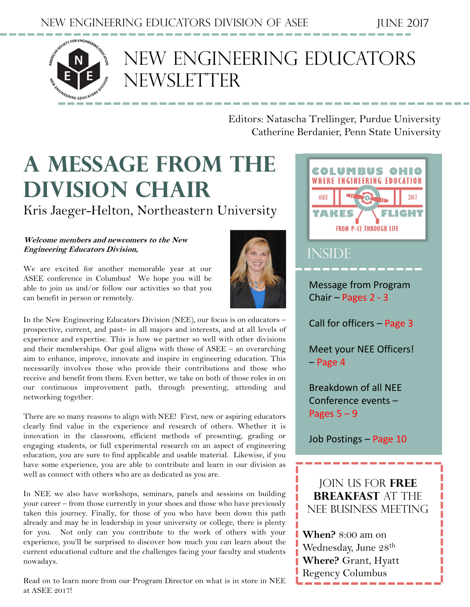

### NEW Engineering Educators NEWSLETTER

Editors: Natascha Trellinger, Purdue University Catherine Berdanier, Penn State University

# **A message from the Division Chair**

Kris Jaeger-Helton, Northeastern University

#### **Welcome members and newcomers to the New Engineering Educators Division,**

We are excited for another memorable year at our ASEE conference in Columbus! We hope you will be able to join us and/or follow our activities so that you can benefit in person or remotely.



In the New Engineering Educators Division (NEE), our focus is on educators – prospective, current, and past– in all majors and interests, and at all levels of experience and expertise. This is how we partner so well with other divisions and their memberships. Our goal aligns with those of ASEE – an overarching aim to enhance, improve, innovate and inspire in engineering education. This necessarily involves those who provide their contributions and those who receive and benefit from them. Even better, we take on both of those roles in on our continuous improvement path, through presenting, attending and networking together.

There are so many reasons to align with NEE! First, new or aspiring educators clearly find value in the experience and research of others. Whether it is innovation in the classroom, efficient methods of presenting, grading or engaging students, or full experimental research on an aspect of engineering education, you are sure to find applicable and usable material. Likewise, if you have some experience, you are able to contribute and learn in our division as well as connect with others who are as dedicated as you are.

In NEE we also have workshops, seminars, panels and sessions on building your career – from those currently in your shoes and those who have previously taken this journey. Finally, for those of you who have been down this path already and may be in leadership in your university or college, there is plenty for you. Not only can you contribute to the work of others with your experience, you'll be surprised to discover how much you can learn about the current educational culture and the challenges facing your faculty and students nowadays.

Read on to learn more from our Program Director on what is in store in NEE at ASEE 2017!

**COLUMBUS OHIO WHERE ENGINEERING EDUCATION** ASEE **TAKES FROM P-12 THROUGH LIFE INSIDE** Message from Program Chair – Pages 2 ‐ 3 Call for officers – Page 3 Meet your NEE Officers! – Page 4 Breakdown of all NEE Conference events – Pages 5 – 9 Job Postings – Page 10Join us for **Free Breakfast** at the

**When?** 8:00 am on Wednesday, June 28<sup>th</sup> **Where?** Grant, Hyatt Regency Columbus

NEE Business Meeting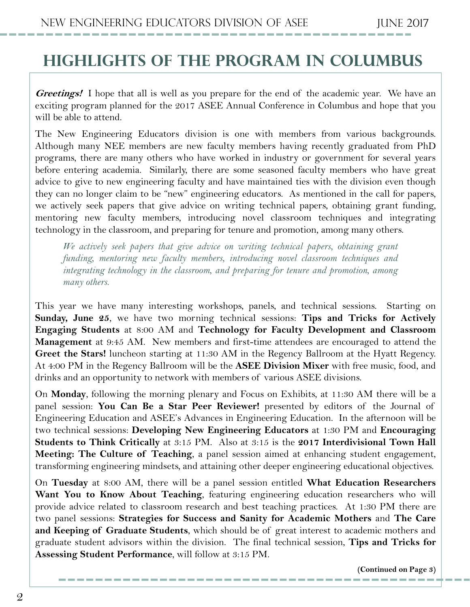### **Highlights of the program in Columbus**

**Greetings!** I hope that all is well as you prepare for the end of the academic year. We have an exciting program planned for the 2017 ASEE Annual Conference in Columbus and hope that you will be able to attend.

The New Engineering Educators division is one with members from various backgrounds. Although many NEE members are new faculty members having recently graduated from PhD programs, there are many others who have worked in industry or government for several years before entering academia. Similarly, there are some seasoned faculty members who have great advice to give to new engineering faculty and have maintained ties with the division even though they can no longer claim to be "new" engineering educators. As mentioned in the call for papers, we actively seek papers that give advice on writing technical papers, obtaining grant funding, mentoring new faculty members, introducing novel classroom techniques and integrating technology in the classroom, and preparing for tenure and promotion, among many others.

*We actively seek papers that give advice on writing technical papers, obtaining grant funding, mentoring new faculty members, introducing novel classroom techniques and integrating technology in the classroom, and preparing for tenure and promotion, among many others.*

This year we have many interesting workshops, panels, and technical sessions. Starting on **Sunday, June 25**, we have two morning technical sessions: **Tips and Tricks for Actively Engaging Students** at 8:00 AM and **Technology for Faculty Development and Classroom Management** at 9:45 AM. New members and first-time attendees are encouraged to attend the **Greet the Stars!** luncheon starting at 11:30 AM in the Regency Ballroom at the Hyatt Regency. At 4:00 PM in the Regency Ballroom will be the **ASEE Division Mixer** with free music, food, and drinks and an opportunity to network with members of various ASEE divisions.

On **Monday**, following the morning plenary and Focus on Exhibits, at 11:30 AM there will be a panel session: **You Can Be a Star Peer Reviewer!** presented by editors of the Journal of Engineering Education and ASEE's Advances in Engineering Education. In the afternoon will be two technical sessions: **Developing New Engineering Educators** at 1:30 PM and **Encouraging Students to Think Critically** at 3:15 PM. Also at 3:15 is the **2017 Interdivisional Town Hall Meeting: The Culture of Teaching**, a panel session aimed at enhancing student engagement, transforming engineering mindsets, and attaining other deeper engineering educational objectives.

On **Tuesday** at 8:00 AM, there will be a panel session entitled **What Education Researchers Want You to Know About Teaching**, featuring engineering education researchers who will provide advice related to classroom research and best teaching practices. At 1:30 PM there are two panel sessions: **Strategies for Success and Sanity for Academic Mothers** and **The Care and Keeping of Graduate Students**, which should be of great interest to academic mothers and graduate student advisors within the division. The final technical session, **Tips and Tricks for Assessing Student Performance**, will follow at 3:15 PM.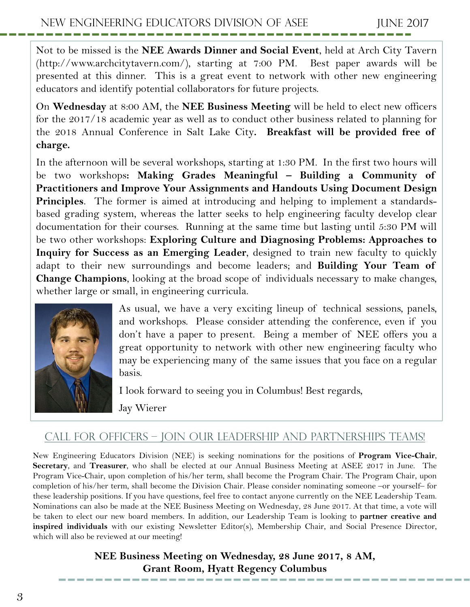Not to be missed is the **NEE Awards Dinner and Social Event**, held at Arch City Tavern (http://www.archcitytavern.com/), starting at 7:00 PM. Best paper awards will be presented at this dinner. This is a great event to network with other new engineering educators and identify potential collaborators for future projects.

On **Wednesday** at 8:00 AM, the **NEE Business Meeting** will be held to elect new officers for the 2017/18 academic year as well as to conduct other business related to planning for the 2018 Annual Conference in Salt Lake City**. Breakfast will be provided free of charge.**

In the afternoon will be several workshops, starting at 1:30 PM. In the first two hours will be two workshops**: Making Grades Meaningful – Building a Community of Practitioners and Improve Your Assignments and Handouts Using Document Design Principles**. The former is aimed at introducing and helping to implement a standardsbased grading system, whereas the latter seeks to help engineering faculty develop clear documentation for their courses. Running at the same time but lasting until 5:30 PM will be two other workshops: **Exploring Culture and Diagnosing Problems: Approaches to Inquiry for Success as an Emerging Leader**, designed to train new faculty to quickly adapt to their new surroundings and become leaders; and **Building Your Team of Change Champions**, looking at the broad scope of individuals necessary to make changes, whether large or small, in engineering curricula.



As usual, we have a very exciting lineup of technical sessions, panels, and workshops. Please consider attending the conference, even if you don't have a paper to present. Being a member of NEE offers you a great opportunity to network with other new engineering faculty who may be experiencing many of the same issues that you face on a regular basis.

I look forward to seeing you in Columbus! Best regards,

Jay Wierer

### Call for Officers – Join our Leadership and Partnerships Teams!

New Engineering Educators Division (NEE) is seeking nominations for the positions of **Program Vice-Chair**, **Secretary**, and **Treasurer**, who shall be elected at our Annual Business Meeting at ASEE 2017 in June. The Program Vice-Chair, upon completion of his/her term, shall become the Program Chair. The Program Chair, upon completion of his/her term, shall become the Division Chair. Please consider nominating someone –or yourself– for these leadership positions. If you have questions, feel free to contact anyone currently on the NEE Leadership Team. Nominations can also be made at the NEE Business Meeting on Wednesday, 28 June 2017. At that time, a vote will be taken to elect our new board members. In addition, our Leadership Team is looking to **partner creative and inspired individuals** with our existing Newsletter Editor(s), Membership Chair, and Social Presence Director, which will also be reviewed at our meeting!

> **NEE Business Meeting on Wednesday, 28 June 2017, 8 AM, Grant Room, Hyatt Regency Columbus**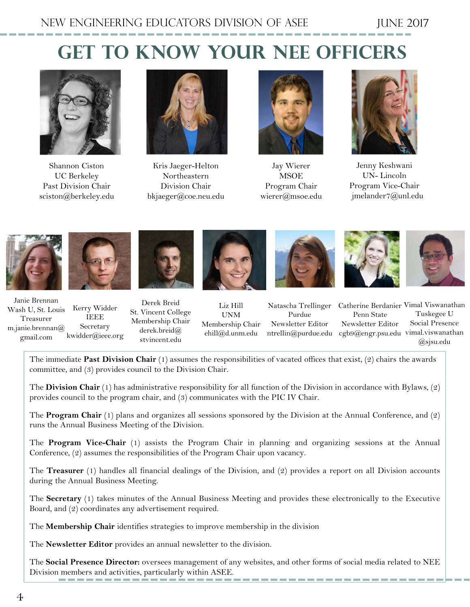### **Get to know your Nee officers**



Shannon Ciston UC Berkeley Past Division Chair sciston@berkeley.edu



Kris Jaeger-Helton Northeastern Division Chair bkjaeger@coe.neu.edu



Jay Wierer **MSOE** Program Chair wierer@msoe.edu



Jenny Keshwani UN- Lincoln Program Vice-Chair jmelander7@unl.edu



Janie Brennan Wash U, St. Louis Treasurer m.janie.brennan@ gmail.com Kerry Widder IEEE Secretary kwidder@ieee.org





Liz Hill UNM

Membership Chair ehill@d.unm.edu Natascha Trellinger Purdue Newsletter Editor

Penn State Newsletter Editor ntrellin@purdue.edu cgb9@engr.psu.edu vimal.viswanathan

Catherine Berdanier Vimal Viswanathan Tuskegee U Social Presence @sjsu.edu

The immediate **Past Division Chair** (1) assumes the responsibilities of vacated offices that exist, (2) chairs the awards committee, and (3) provides council to the Division Chair.

The **Division Chair** (1) has administrative responsibility for all function of the Division in accordance with Bylaws, (2) provides council to the program chair, and (3) communicates with the PIC IV Chair.

The **Program Chair** (1) plans and organizes all sessions sponsored by the Division at the Annual Conference, and (2) runs the Annual Business Meeting of the Division.

The **Program Vice-Chair** (1) assists the Program Chair in planning and organizing sessions at the Annual Conference, (2) assumes the responsibilities of the Program Chair upon vacancy.

The **Treasurer** (1) handles all financial dealings of the Division, and (2) provides a report on all Division accounts during the Annual Business Meeting.

The **Secretary** (1) takes minutes of the Annual Business Meeting and provides these electronically to the Executive Board, and (2) coordinates any advertisement required.

The **Membership Chair** identifies strategies to improve membership in the division

The **Newsletter Editor** provides an annual newsletter to the division.

The **Social Presence Director:** oversees management of any websites, and other forms of social media related to NEE Division members and activities, particularly within ASEE.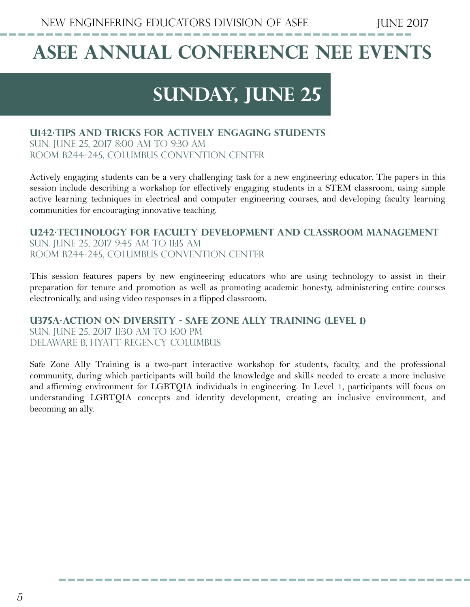## **ASEE Annual conference nee events**

### **Sunday, june 25**

#### **U142·Tips and Tricks for Actively Engaging Students**

Sun. June 25, 2017 8:00 AM to 9:30 AM Room B244-245, Columbus Convention Center

Actively engaging students can be a very challenging task for a new engineering educator. The papers in this session include describing a workshop for effectively engaging students in a STEM classroom, using simple active learning techniques in electrical and computer engineering courses, and developing faculty learning communities for encouraging innovative teaching.

**U242·Technology for Faculty Development and Classroom Management** Sun. June 25, 2017 9:45 AM to 11:15 AM Room B244-245, Columbus Convention Center

This session features papers by new engineering educators who are using technology to assist in their preparation for tenure and promotion as well as promoting academic honesty, administering entire courses electronically, and using video responses in a flipped classroom.

**U375A·Action on Diversity - Safe Zone Ally Training (Level 1)** Sun. June 25, 2017 11:30 AM to 1:00 PM Delaware B, Hyatt Regency Columbus

Safe Zone Ally Training is a two-part interactive workshop for students, faculty, and the professional community, during which participants will build the knowledge and skills needed to create a more inclusive and affirming environment for LGBTQIA individuals in engineering. In Level 1, participants will focus on understanding LGBTQIA concepts and identity development, creating an inclusive environment, and becoming an ally.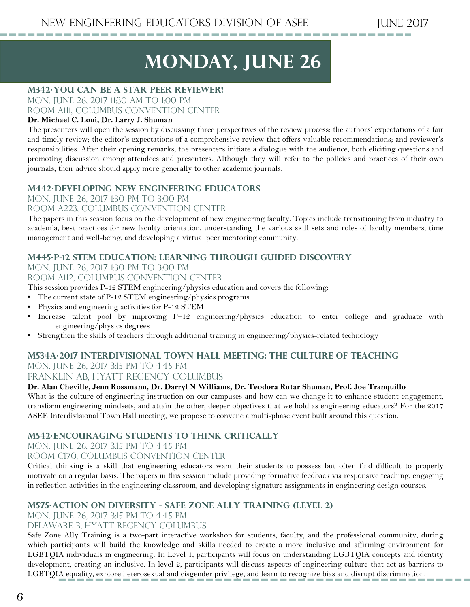## **monday, june 26**

#### **M342·You Can Be a Star Peer Reviewer!**

Mon. June 26, 2017 11:30 AM to 1:00 PM Room A111, Columbus Convention Center

#### **Dr. Michael C. Loui, Dr. Larry J. Shuman**

The presenters will open the session by discussing three perspectives of the review process: the authors' expectations of a fair and timely review; the editor's expectations of a comprehensive review that offers valuable recommendations; and reviewer's responsibilities. After their opening remarks, the presenters initiate a dialogue with the audience, both eliciting questions and promoting discussion among attendees and presenters. Although they will refer to the policies and practices of their own journals, their advice should apply more generally to other academic journals.

#### **M442·Developing New Engineering Educators**

Mon. June 26, 2017 1:30 PM to 3:00 PM

#### Room A223, Columbus Convention Center

The papers in this session focus on the development of new engineering faculty. Topics include transitioning from industry to academia, best practices for new faculty orientation, understanding the various skill sets and roles of faculty members, time management and well-being, and developing a virtual peer mentoring community.

#### **M445·P-12 STEM Education: Learning through Guided Discovery**

Mon. June 26, 2017 1:30 PM to 3:00 PM

Room A112, Columbus Convention Center

This session provides P-12 STEM engineering/physics education and covers the following:

- The current state of P-12 STEM engineering/physics programs
- Physics and engineering activities for P-12 STEM
- Increase talent pool by improving P–12 engineering/physics education to enter college and graduate with engineering/physics degrees
- Strengthen the skills of teachers through additional training in engineering/physics-related technology

#### **M534A·2017 Interdivisional Town Hall Meeting: The Culture of Teaching**  MON. JUNE 26, 2017 3:15 PM TO 4:45 PM

FRANKLIN AB, HYATT REGENCY COLUMBUS

#### **Dr. Alan Cheville, Jenn Rossmann, Dr. Darryl N Williams, Dr. Teodora Rutar Shuman, Prof. Joe Tranquillo**

What is the culture of engineering instruction on our campuses and how can we change it to enhance student engagement, transform engineering mindsets, and attain the other, deeper objectives that we hold as engineering educators? For the 2017 ASEE Interdivisional Town Hall meeting, we propose to convene a multi-phase event built around this question.

#### **M542·Encouraging Students to Think Critically**

MON. JUNE 26, 2017 3:15 PM TO 4:45 PM

#### Room C170, Columbus Convention Center

Critical thinking is a skill that engineering educators want their students to possess but often find difficult to properly motivate on a regular basis. The papers in this session include providing formative feedback via responsive teaching, engaging in reflection activities in the engineering classroom, and developing signature assignments in engineering design courses.

#### **M575·Action on Diversity - Safe Zone Ally Training (Level 2)**

MON. JUNE 26, 2017 3:15 PM TO 4:45 PM

Delaware B, Hyatt Regency Columbus

Safe Zone Ally Training is a two-part interactive workshop for students, faculty, and the professional community, during which participants will build the knowledge and skills needed to create a more inclusive and affirming environment for LGBTQIA individuals in engineering. In Level 1, participants will focus on understanding LGBTQIA concepts and identity development, creating an inclusive. In level 2, participants will discuss aspects of engineering culture that act as barriers to LGBTQIA equality, explore heterosexual and cisgender privilege, and learn to recognize bias and disrupt discrimination.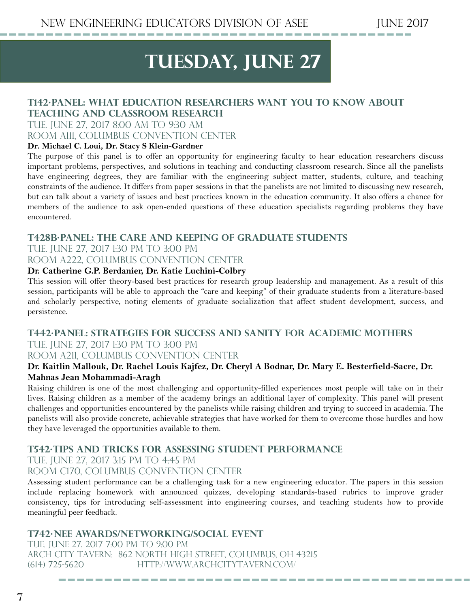### TUESDAY, JUNE 27

#### **T142·Panel: What Education Researchers Want You to Know about Teaching and Classroom Research**

Tue. June 27, 2017 8:00 AM to 9:30 AM Room A111, Columbus Convention Center

#### **Dr. Michael C. Loui, Dr. Stacy S Klein-Gardner**

The purpose of this panel is to offer an opportunity for engineering faculty to hear education researchers discuss important problems, perspectives, and solutions in teaching and conducting classroom research. Since all the panelists have engineering degrees, they are familiar with the engineering subject matter, students, culture, and teaching constraints of the audience. It differs from paper sessions in that the panelists are not limited to discussing new research, but can talk about a variety of issues and best practices known in the education community. It also offers a chance for members of the audience to ask open-ended questions of these education specialists regarding problems they have encountered.

#### **T428B·Panel: The Care and Keeping of Graduate Students**

TUE. JUNE 27, 2017 1:30 PM TO 3:00 PM Room A222, Columbus Convention Center

### **Dr. Catherine G.P. Berdanier, Dr. Katie Luchini-Colbry**

This session will offer theory-based best practices for research group leadership and management. As a result of this session, participants will be able to approach the "care and keeping" of their graduate students from a literature-based and scholarly perspective, noting elements of graduate socialization that affect student development, success, and persistence.

#### **T442·Panel: Strategies for Success and Sanity for Academic Mothers**  TUE. JUNE 27, 2017 1:30 PM TO 3:00 PM

#### Room A211, Columbus Convention Center

#### **Dr. Kaitlin Mallouk, Dr. Rachel Louis Kajfez, Dr. Cheryl A Bodnar, Dr. Mary E. Besterfield-Sacre, Dr. Mahnas Jean Mohammadi-Aragh**

Raising children is one of the most challenging and opportunity-filled experiences most people will take on in their lives. Raising children as a member of the academy brings an additional layer of complexity. This panel will present challenges and opportunities encountered by the panelists while raising children and trying to succeed in academia. The panelists will also provide concrete, achievable strategies that have worked for them to overcome those hurdles and how they have leveraged the opportunities available to them.

#### **T542·Tips and Tricks for Assessing Student Performance**

TUE. JUNE 27, 2017 3:15 PM TO 4:45 PM

#### Room C170, Columbus Convention Center

Assessing student performance can be a challenging task for a new engineering educator. The papers in this session include replacing homework with announced quizzes, developing standards-based rubrics to improve grader consistency, tips for introducing self-assessment into engineering courses, and teaching students how to provide meaningful peer feedback.

#### **T742·NEE Awards/Networking/Social Event**

Tue. June 27, 2017 7:00 PM to 9:00 PM Arch City Tavern: 862 North High Street, Columbus, OH 43215 (614) 725-5620 http://www.archcitytavern.com/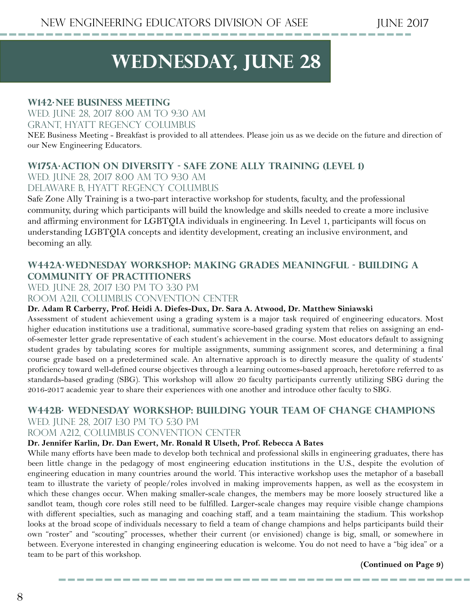### **wednesday, june 28**

#### **W142·NEE Business Meeting**

Wed. June 28, 2017 8:00 AM to 9:30 AM Grant, Hyatt Regency Columbus

NEE Business Meeting - Breakfast is provided to all attendees. Please join us as we decide on the future and direction of our New Engineering Educators.

#### **W175A·Action on Diversity - Safe Zone Ally Training (Level 1)**

Wed. June 28, 2017 8:00 AM to 9:30 AM Delaware B, Hyatt Regency Columbus

Safe Zone Ally Training is a two-part interactive workshop for students, faculty, and the professional community, during which participants will build the knowledge and skills needed to create a more inclusive and affirming environment for LGBTQIA individuals in engineering. In Level 1, participants will focus on understanding LGBTQIA concepts and identity development, creating an inclusive environment, and becoming an ally.

#### **W442A·WEDNESDAY WORKSHOP: Making Grades Meaningful - Building a Community of Practitioners**

WED. JUNE 28, 2017 1:30 PM TO 3:30 PM

Room A211, Columbus Convention Center

#### **Dr. Adam R Carberry, Prof. Heidi A. Diefes-Dux, Dr. Sara A. Atwood, Dr. Matthew Siniawski**

Assessment of student achievement using a grading system is a major task required of engineering educators. Most higher education institutions use a traditional, summative score-based grading system that relies on assigning an endof-semester letter grade representative of each student's achievement in the course. Most educators default to assigning student grades by tabulating scores for multiple assignments, summing assignment scores, and determining a final course grade based on a predetermined scale. An alternative approach is to directly measure the quality of students' proficiency toward well-defined course objectives through a learning outcomes-based approach, heretofore referred to as standards-based grading (SBG). This workshop will allow 20 faculty participants currently utilizing SBG during the 2016-2017 academic year to share their experiences with one another and introduce other faculty to SBG.

#### **W442B· WEDNESDAY WORKSHOP: Building Your Team of Change Champions** WED. JUNE 28, 2017 1:30 PM TO 5:30 PM

#### Room A212, Columbus Convention Center

#### **Dr. Jennifer Karlin, Dr. Dan Ewert, Mr. Ronald R Ulseth, Prof. Rebecca A Bates**

While many efforts have been made to develop both technical and professional skills in engineering graduates, there has been little change in the pedagogy of most engineering education institutions in the U.S., despite the evolution of engineering education in many countries around the world. This interactive workshop uses the metaphor of a baseball team to illustrate the variety of people/roles involved in making improvements happen, as well as the ecosystem in which these changes occur. When making smaller-scale changes, the members may be more loosely structured like a sandlot team, though core roles still need to be fulfilled. Larger-scale changes may require visible change champions with different specialties, such as managing and coaching staff, and a team maintaining the stadium. This workshop looks at the broad scope of individuals necessary to field a team of change champions and helps participants build their own "roster" and "scouting" processes, whether their current (or envisioned) change is big, small, or somewhere in between. Everyone interested in changing engineering education is welcome. You do not need to have a "big idea" or a team to be part of this workshop.

**(Continued on Page 9)**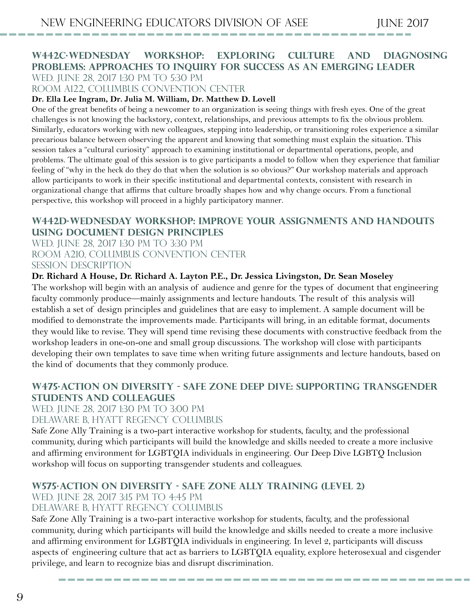#### **W442C·WEDNESDAY WORKSHOP: Exploring Culture and Diagnosing Problems: Approaches to Inquiry for Success as an Emerging Leader** WED. JUNE 28, 2017 1:30 PM TO 5:30 PM

Room A122, Columbus Convention Center

#### **Dr. Ella Lee Ingram, Dr. Julia M. William, Dr. Matthew D. Lovell**

One of the great benefits of being a newcomer to an organization is seeing things with fresh eyes. One of the great challenges is not knowing the backstory, context, relationships, and previous attempts to fix the obvious problem. Similarly, educators working with new colleagues, stepping into leadership, or transitioning roles experience a similar precarious balance between observing the apparent and knowing that something must explain the situation. This session takes a "cultural curiosity" approach to examining institutional or departmental operations, people, and problems. The ultimate goal of this session is to give participants a model to follow when they experience that familiar feeling of "why in the heck do they do that when the solution is so obvious?" Our workshop materials and approach allow participants to work in their specific institutional and departmental contexts, consistent with research in organizational change that affirms that culture broadly shapes how and why change occurs. From a functional perspective, this workshop will proceed in a highly participatory manner.

#### **W442D·WEDNESDAY WORKSHOP: Improve Your Assignments and Handouts Using Document Design Principles**

WED. JUNE 28, 2017 1:30 PM TO 3:30 PM Room A210, Columbus Convention Center Session Description

#### **Dr. Richard A House, Dr. Richard A. Layton P.E., Dr. Jessica Livingston, Dr. Sean Moseley**

The workshop will begin with an analysis of audience and genre for the types of document that engineering faculty commonly produce—mainly assignments and lecture handouts. The result of this analysis will establish a set of design principles and guidelines that are easy to implement. A sample document will be modified to demonstrate the improvements made. Participants will bring, in an editable format, documents they would like to revise. They will spend time revising these documents with constructive feedback from the workshop leaders in one-on-one and small group discussions. The workshop will close with participants developing their own templates to save time when writing future assignments and lecture handouts, based on the kind of documents that they commonly produce.

#### **W475·Action on Diversity - Safe Zone Deep Dive: Supporting Transgender Students and Colleagues**

WED. JUNE 28, 2017 1:30 PM TO 3:00 PM

#### Delaware B, Hyatt Regency Columbus

Safe Zone Ally Training is a two-part interactive workshop for students, faculty, and the professional community, during which participants will build the knowledge and skills needed to create a more inclusive and affirming environment for LGBTQIA individuals in engineering. Our Deep Dive LGBTQ Inclusion workshop will focus on supporting transgender students and colleagues.

#### **W575·Action on Diversity - Safe Zone Ally Training (Level 2)**

#### WED. JUNE 28, 2017 3:15 PM TO 4:45 PM

#### Delaware B, Hyatt Regency Columbus

Safe Zone Ally Training is a two-part interactive workshop for students, faculty, and the professional community, during which participants will build the knowledge and skills needed to create a more inclusive and affirming environment for LGBTQIA individuals in engineering. In level 2, participants will discuss aspects of engineering culture that act as barriers to LGBTQIA equality, explore heterosexual and cisgender privilege, and learn to recognize bias and disrupt discrimination.